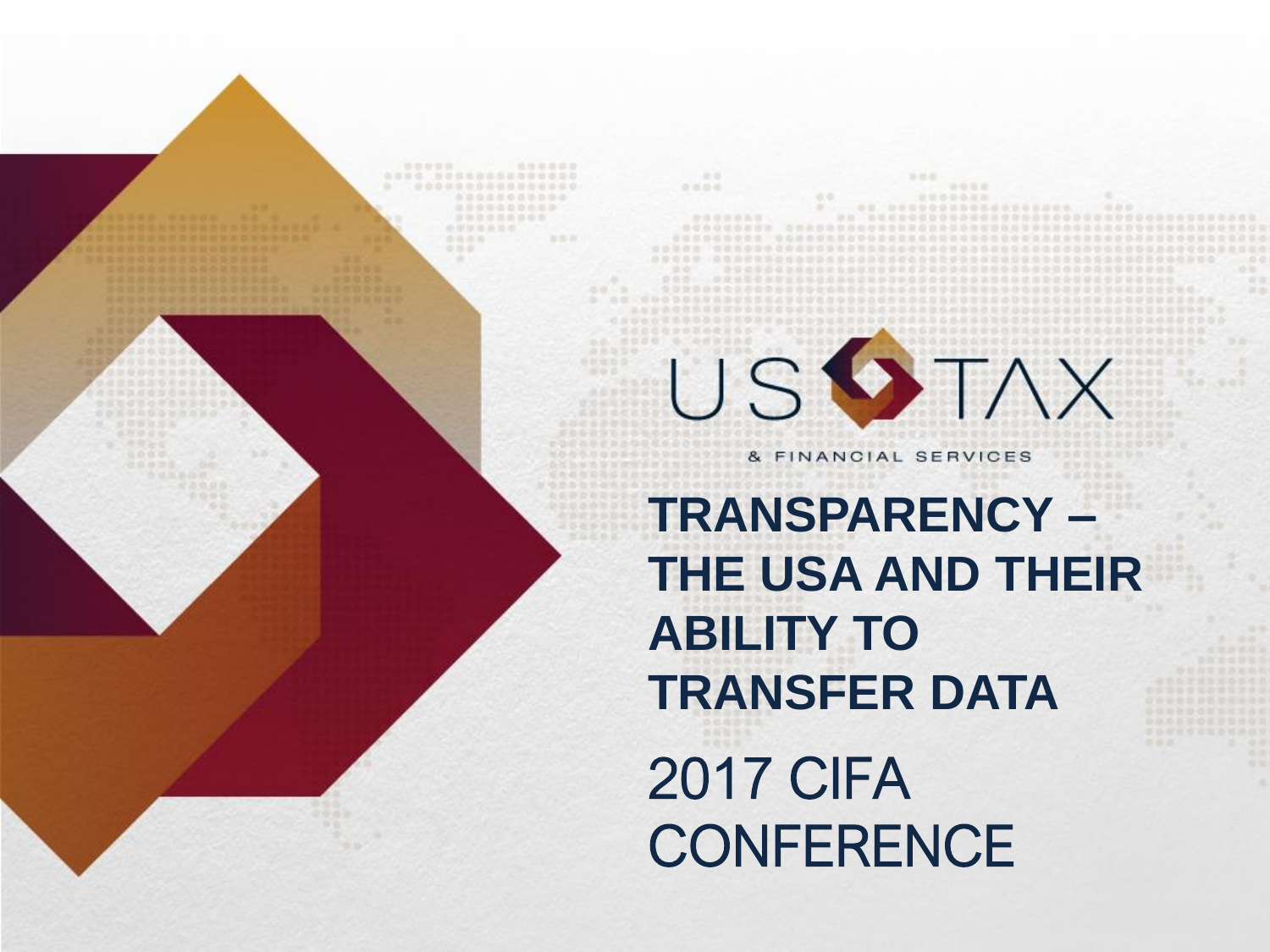2017 CIFA **CONFERENCE TRANSPARENCY – THE USA AND THEIR ABILITY TO TRANSFER DATA**

USSTAX

& FINANCIAL SERVICES

0000 00000000000000

立道器值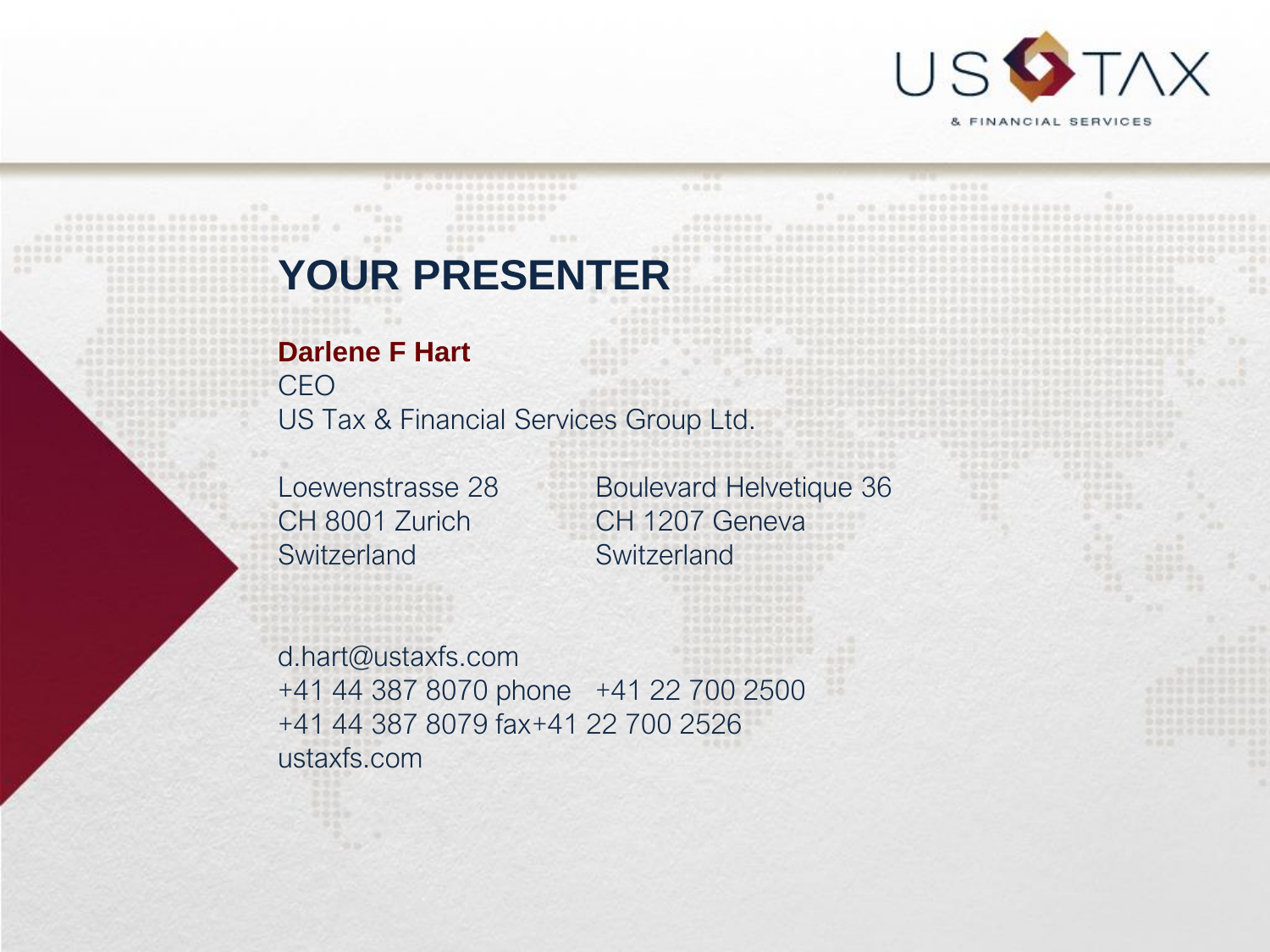

0000

### **YOUR PRESENTER**

...............

#### **Darlene F Hart**

CEO US Tax & Financial Services Group Ltd.

合作所

Switzerland Switzerland

Loewenstrasse 28 Boulevard Helvetique 36 CH 8001 Zurich CH 1207 Geneva

立边出版

d.hart@ustaxfs.com +41 44 387 8070 phone +41 22 700 2500 +41 44 387 8079 fax+41 22 700 2526 ustaxfs.com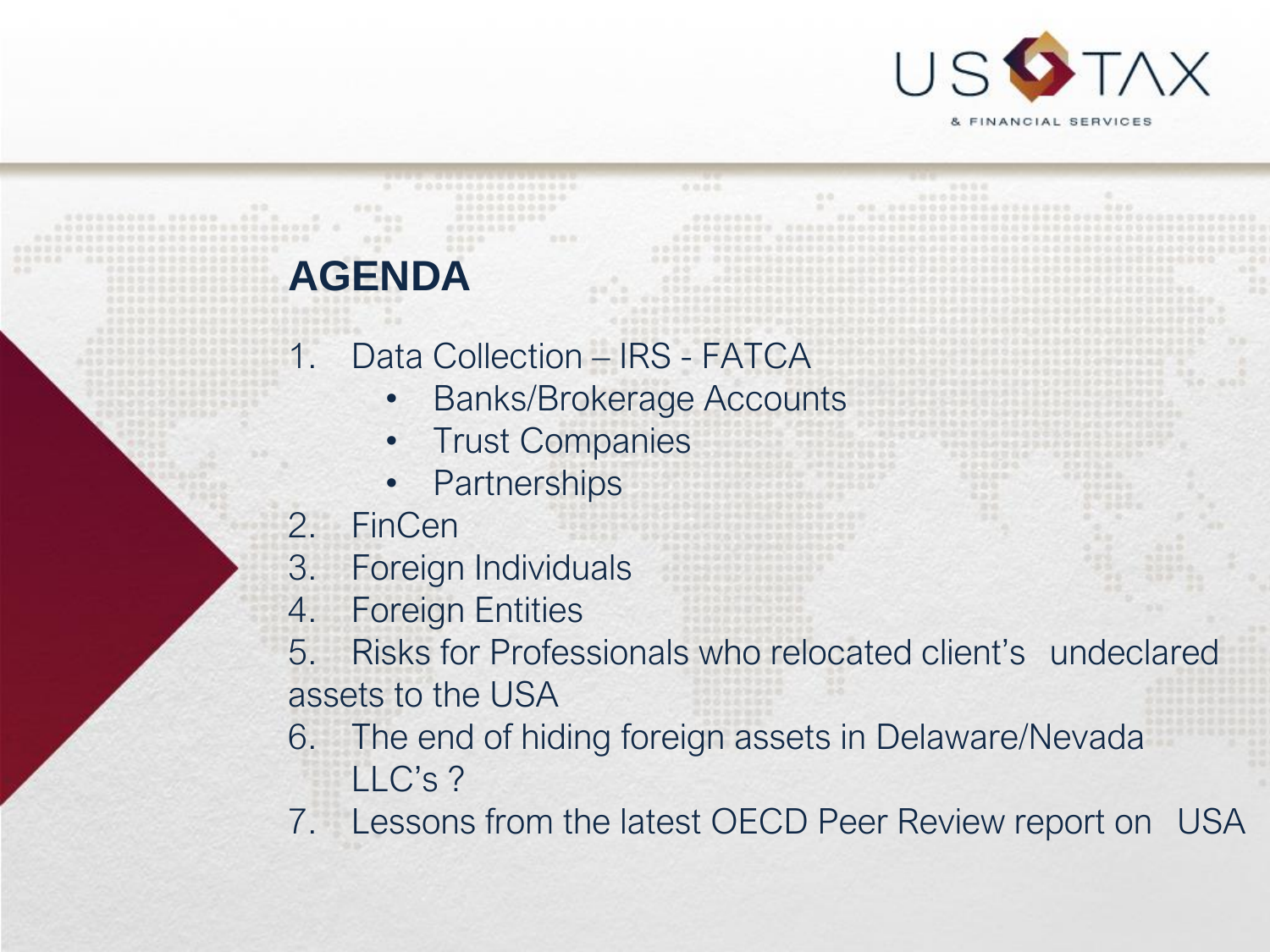

### **AGENDA**

- 1. Data Collection IRS FATCA
	- Banks/Brokerage Accounts

立边出版

- Trust Companies
- Partnerships
- 2. FinCen
- 3. Foreign Individuals
- 4. Foreign Entities
- 5. Risks for Professionals who relocated client's undeclared assets to the USA
- 6. The end of hiding foreign assets in Delaware/Nevada LLC's ?
- 7. Lessons from the latest OECD Peer Review report on USA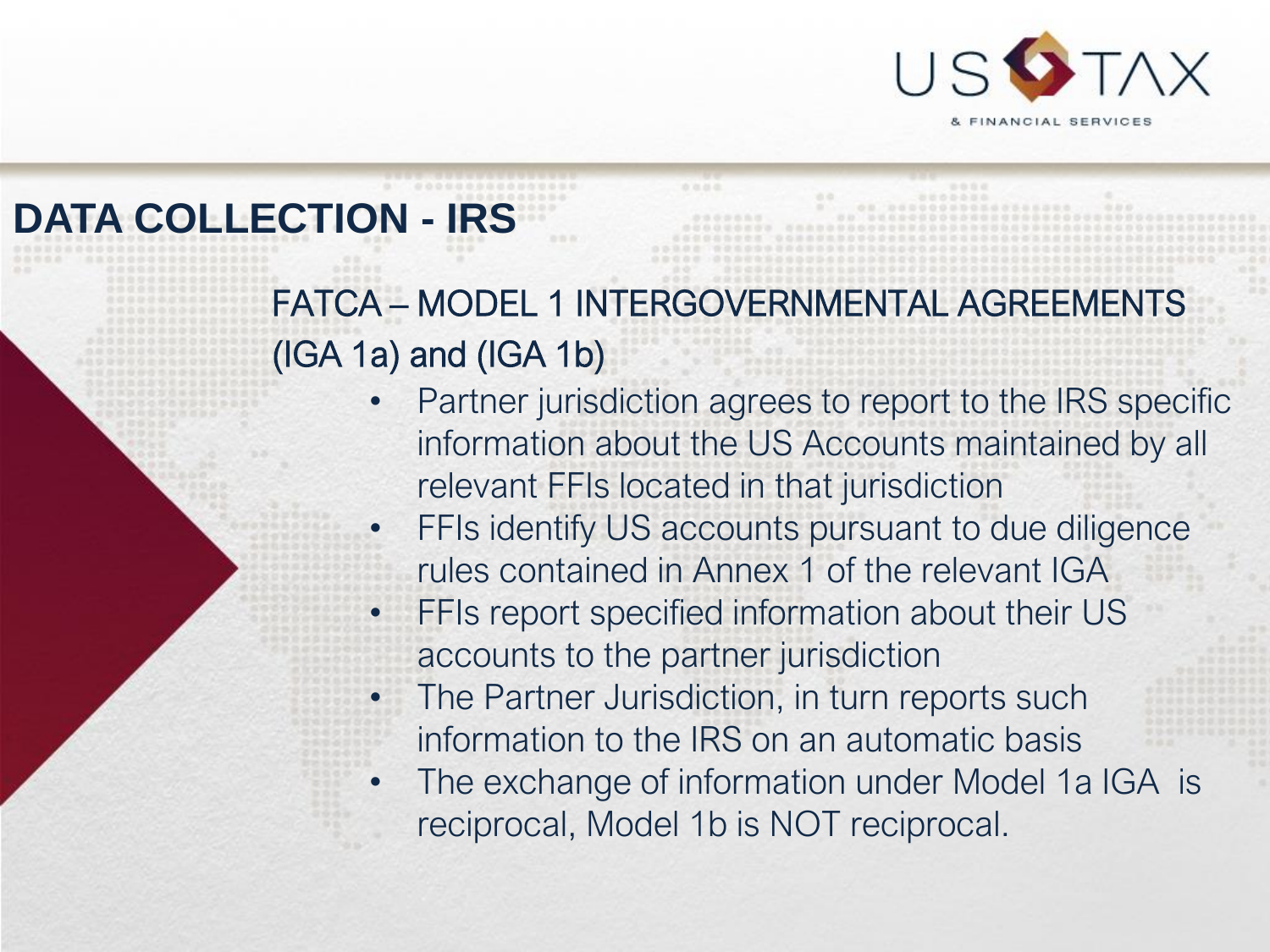

## **DATA COLLECTION - IRS**

FATCA – MODEL 1 INTERGOVERNMENTAL AGREEMENTS (IGA 1a) and (IGA 1b)

- Partner jurisdiction agrees to report to the IRS specific information about the US Accounts maintained by all relevant FFIs located in that jurisdiction
	- FFIs identify US accounts pursuant to due diligence rules contained in Annex 1 of the relevant IGA
	- FFIs report specified information about their US accounts to the partner jurisdiction
	- The Partner Jurisdiction, in turn reports such information to the IRS on an automatic basis
	- The exchange of information under Model 1a IGA is reciprocal, Model 1b is NOT reciprocal.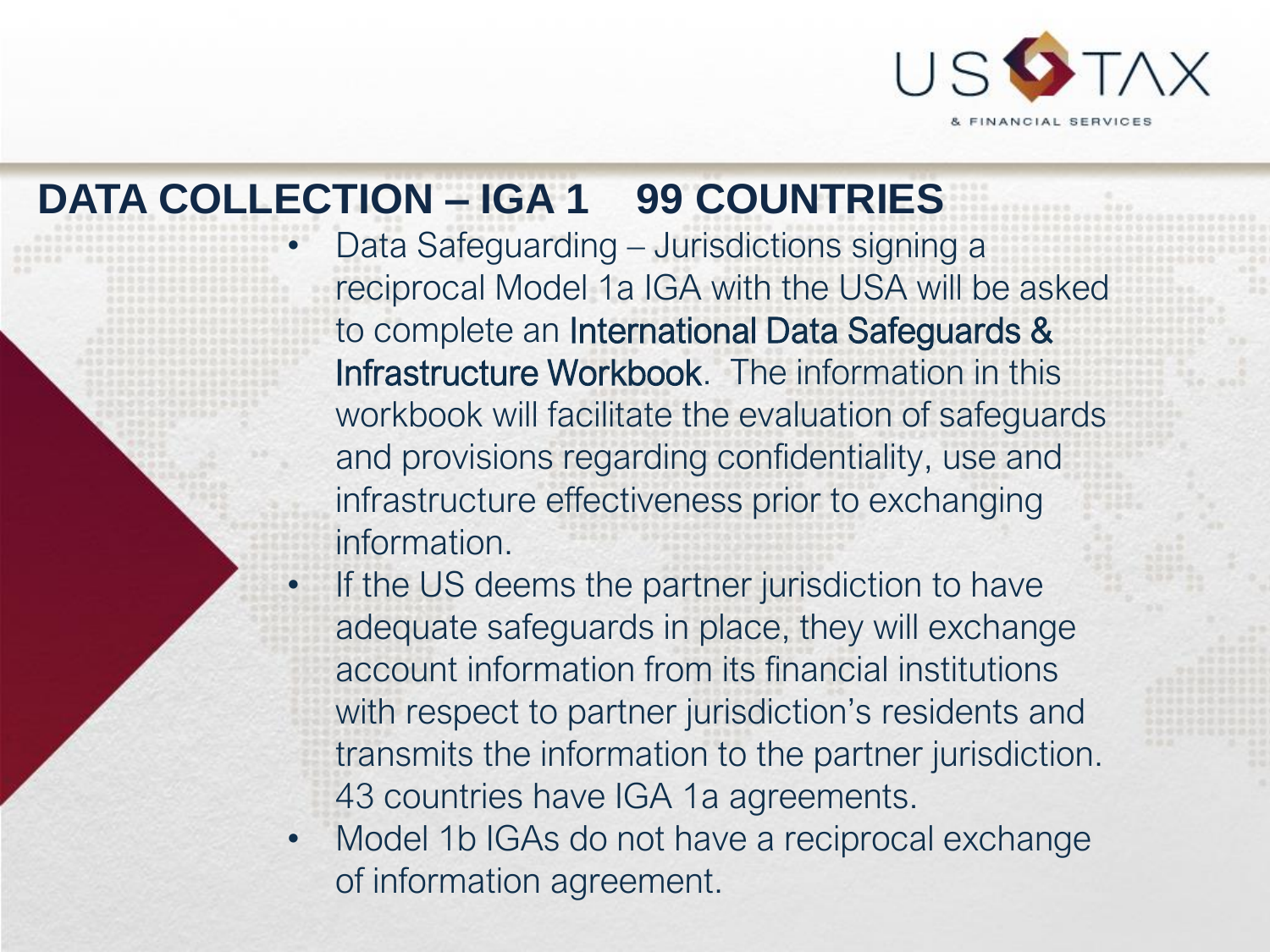

## **DATA COLLECTION – IGA 1 99 COUNTRIES**

• Data Safeguarding – Jurisdictions signing a reciprocal Model 1a IGA with the USA will be asked to complete an International Data Safeguards & Infrastructure Workbook. The information in this workbook will facilitate the evaluation of safeguards and provisions regarding confidentiality, use and infrastructure effectiveness prior to exchanging information.

- If the US deems the partner jurisdiction to have adequate safeguards in place, they will exchange account information from its financial institutions with respect to partner jurisdiction's residents and transmits the information to the partner jurisdiction. 43 countries have IGA 1a agreements.
- Model 1b IGAs do not have a reciprocal exchange of information agreement.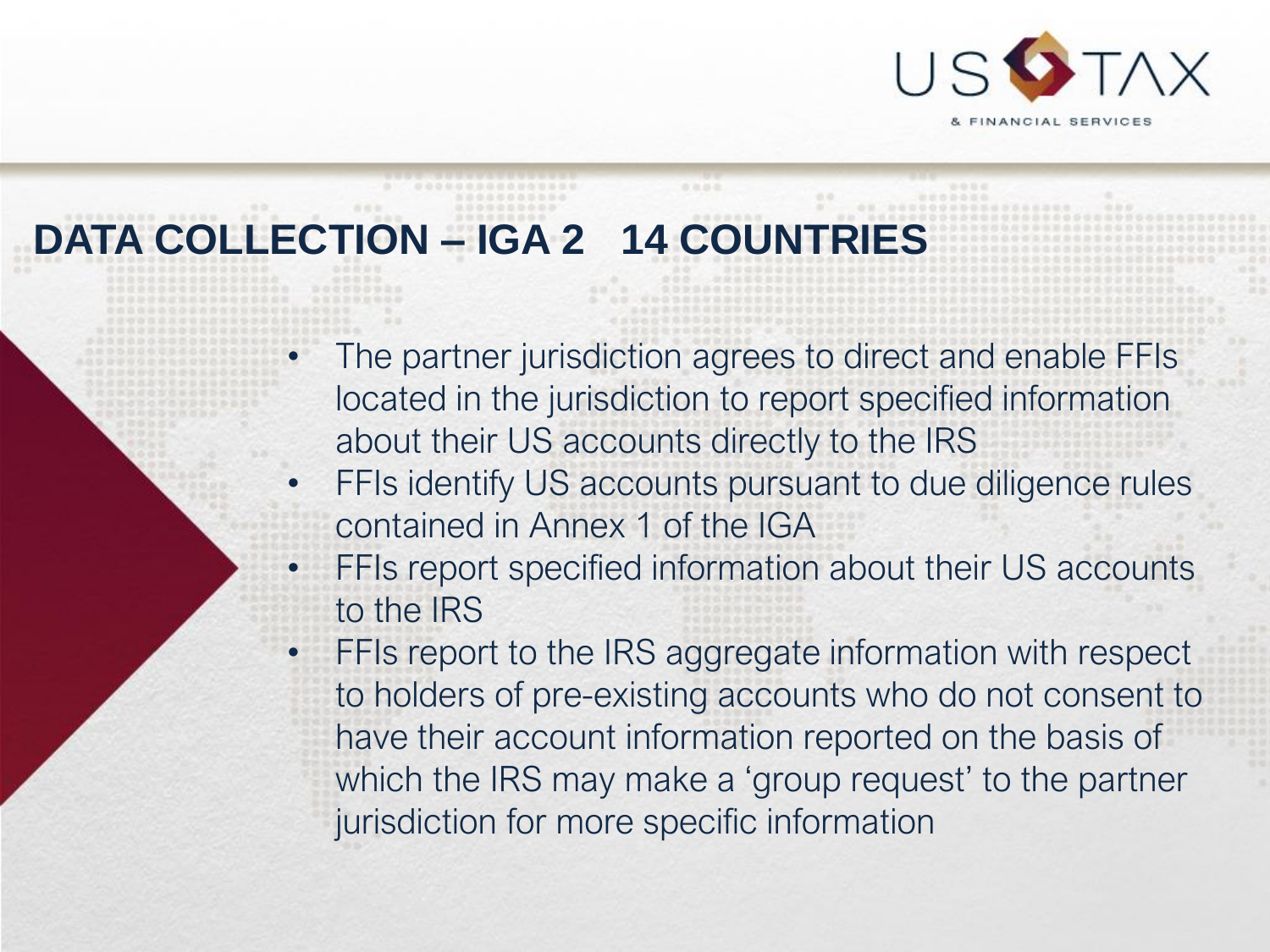

# **DATA COLLECTION – IGA 2 14 COUNTRIES**

The partner jurisdiction agrees to direct and enable FFIs located in the jurisdiction to report specified information about their US accounts directly to the IRS

立边出版

- FFIs identify US accounts pursuant to due diligence rules contained in Annex 1 of the IGA
- FFIs report specified information about their US accounts to the IRS
	- **FFIs report to the IRS aggregate information with respect** to holders of pre-existing accounts who do not consent to have their account information reported on the basis of which the IRS may make a 'group request' to the partner jurisdiction for more specific information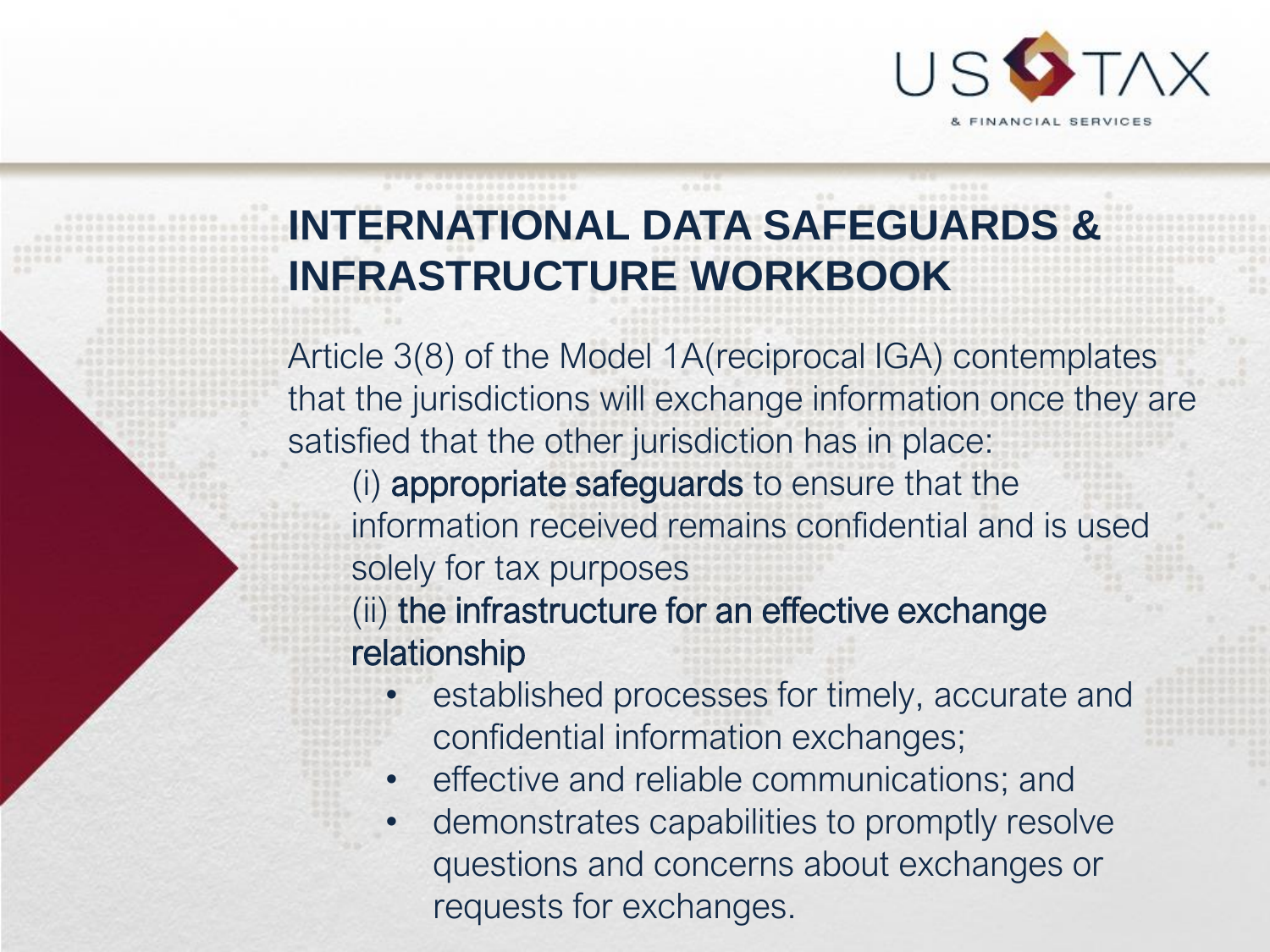

## **INTERNATIONAL DATA SAFEGUARDS & INFRASTRUCTURE WORKBOOK**

Article 3(8) of the Model 1A(reciprocal IGA) contemplates that the jurisdictions will exchange information once they are satisfied that the other jurisdiction has in place:

(i) appropriate safeguards to ensure that the information received remains confidential and is used solely for tax purposes

(ii) the infrastructure for an effective exchange relationship

- established processes for timely, accurate and confidential information exchanges;
- effective and reliable communications; and
- demonstrates capabilities to promptly resolve questions and concerns about exchanges or requests for exchanges.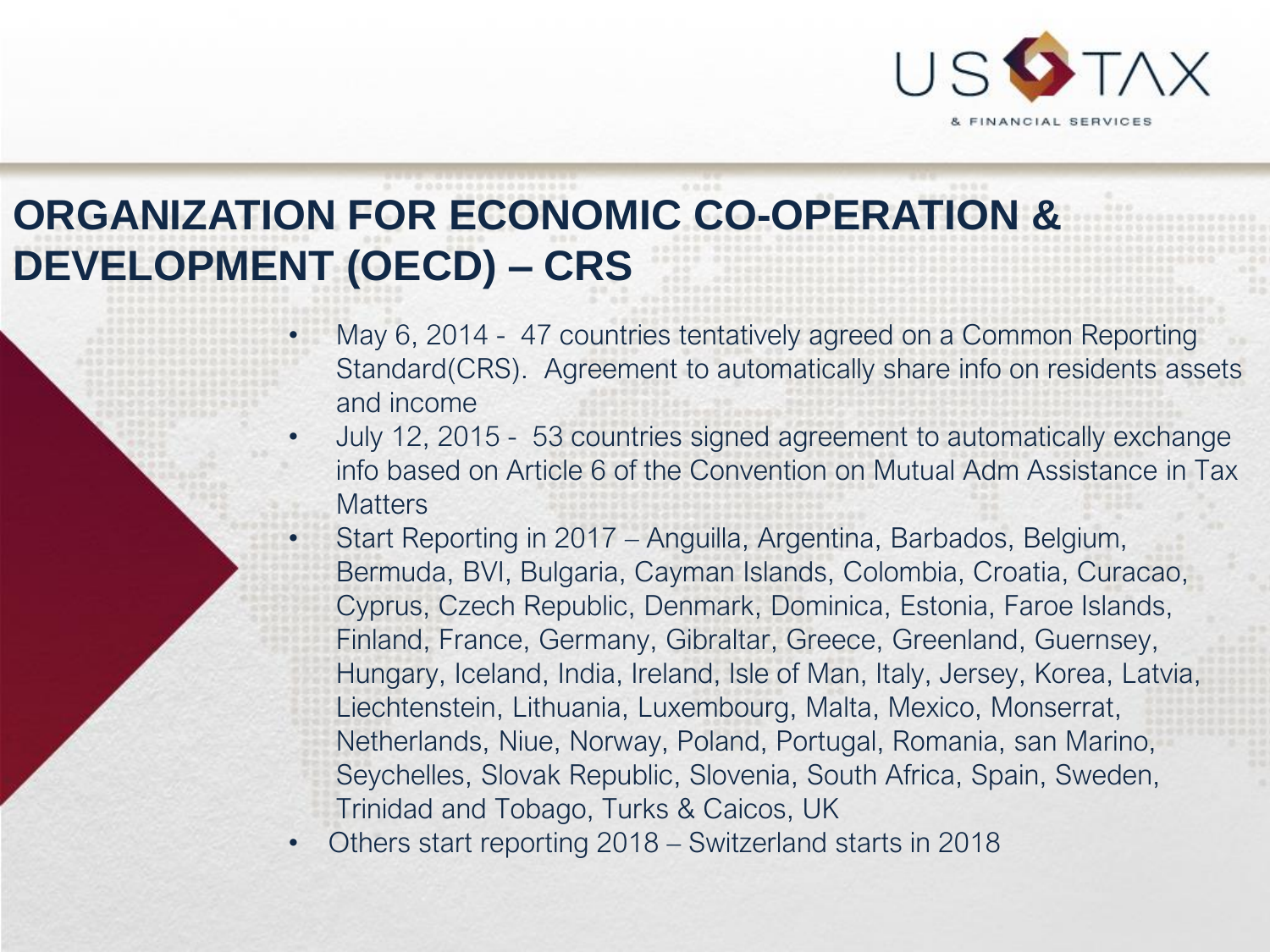

# **ORGANIZATION FOR ECONOMIC CO-OPERATION & DEVELOPMENT (OECD) – CRS**

- May 6, 2014 47 countries tentatively agreed on a Common Reporting Standard(CRS). Agreement to automatically share info on residents assets and income
- July 12, 2015 53 countries signed agreement to automatically exchange info based on Article 6 of the Convention on Mutual Adm Assistance in Tax **Matters** 
	- Start Reporting in 2017 Anguilla, Argentina, Barbados, Belgium, Bermuda, BVI, Bulgaria, Cayman Islands, Colombia, Croatia, Curacao, Cyprus, Czech Republic, Denmark, Dominica, Estonia, Faroe Islands, Finland, France, Germany, Gibraltar, Greece, Greenland, Guernsey, Hungary, Iceland, India, Ireland, Isle of Man, Italy, Jersey, Korea, Latvia, Liechtenstein, Lithuania, Luxembourg, Malta, Mexico, Monserrat, Netherlands, Niue, Norway, Poland, Portugal, Romania, san Marino, Seychelles, Slovak Republic, Slovenia, South Africa, Spain, Sweden, Trinidad and Tobago, Turks & Caicos, UK
- Others start reporting 2018 Switzerland starts in 2018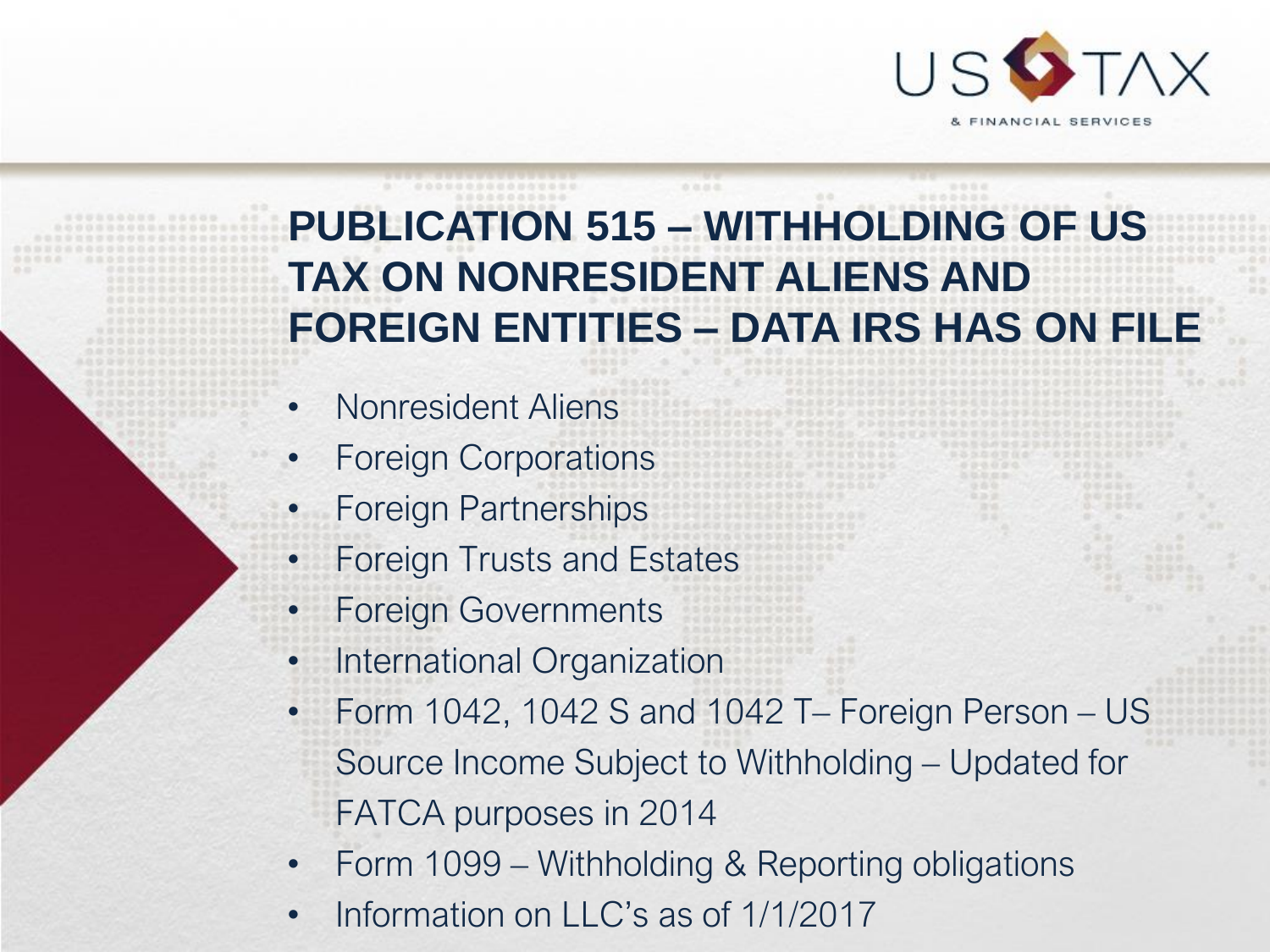

## **PUBLICATION 515 – WITHHOLDING OF US TAX ON NONRESIDENT ALIENS AND FOREIGN ENTITIES – DATA IRS HAS ON FILE**

- Nonresident Aliens
- Foreign Corporations
- Foreign Partnerships
- Foreign Trusts and Estates
- Foreign Governments
- International Organization
- Form 1042, 1042 S and 1042 T– Foreign Person US Source Income Subject to Withholding – Updated for FATCA purposes in 2014
- Form 1099 Withholding & Reporting obligations
- Information on LLC's as of 1/1/2017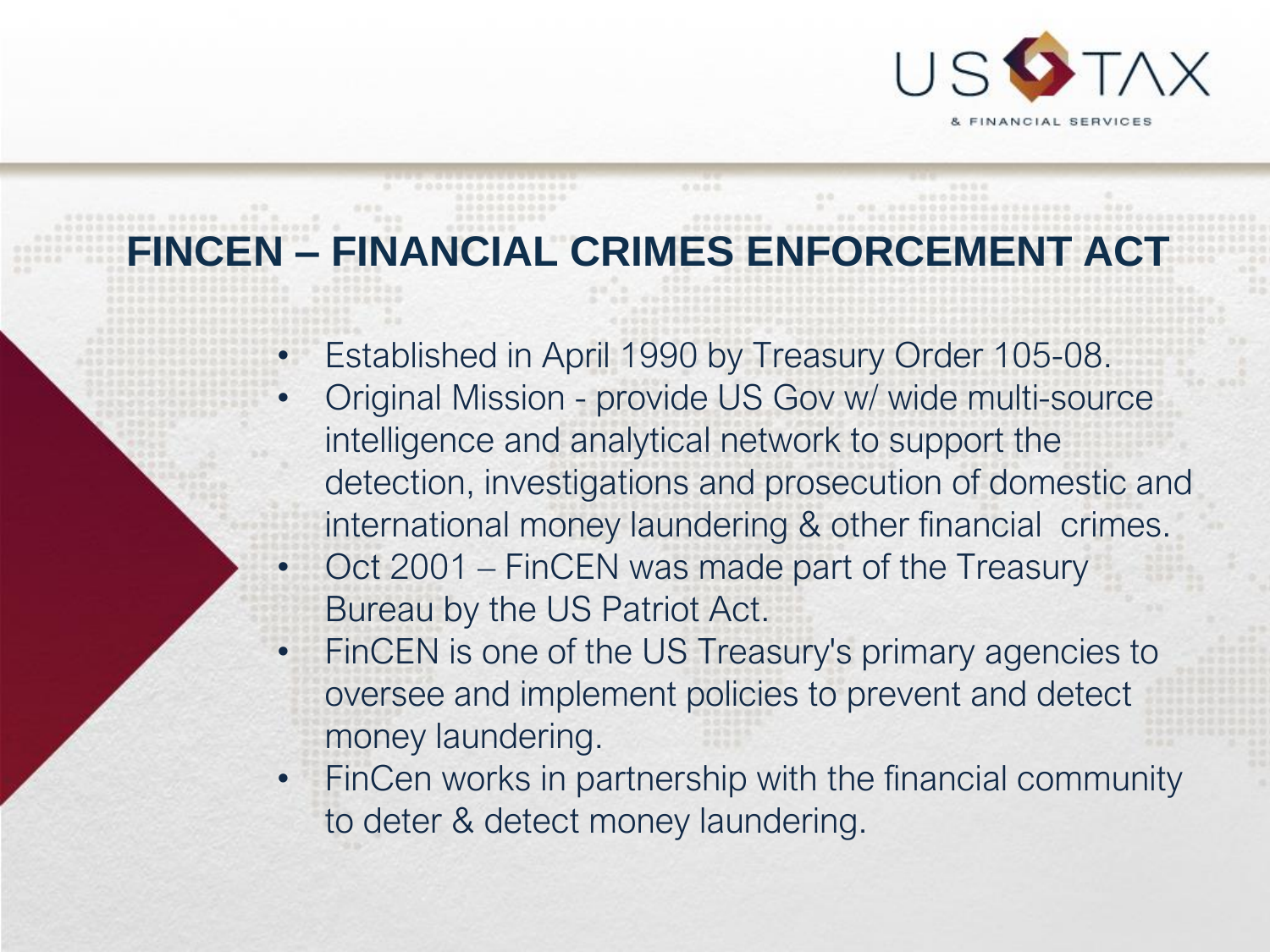

## **FINCEN – FINANCIAL CRIMES ENFORCEMENT ACT**

- Established in April 1990 by Treasury Order 105-08.
- Original Mission provide US Gov w/ wide multi-source intelligence and analytical network to support the detection, investigations and prosecution of domestic and international money laundering & other financial crimes.
- Oct 2001 FinCEN was made part of the Treasury Bureau by the US Patriot Act.
- FinCEN is one of the US Treasury's primary agencies to oversee and implement policies to prevent and detect money laundering.
- FinCen works in partnership with the financial community to deter & detect money laundering.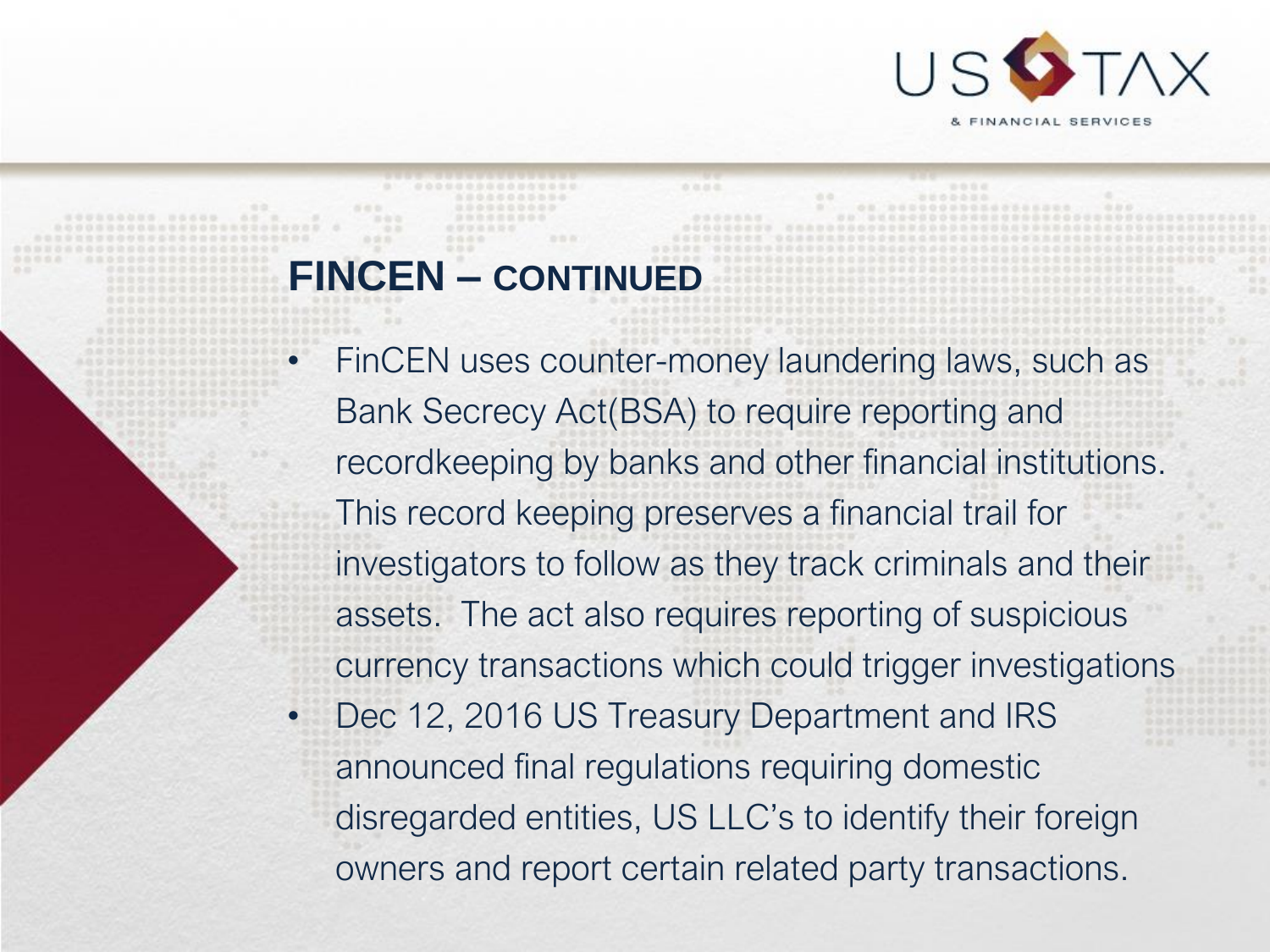

#### **FINCEN – CONTINUED**

- FinCEN uses counter-money laundering laws, such as Bank Secrecy Act(BSA) to require reporting and recordkeeping by banks and other financial institutions. This record keeping preserves a financial trail for investigators to follow as they track criminals and their assets. The act also requires reporting of suspicious currency transactions which could trigger investigations
- Dec 12, 2016 US Treasury Department and IRS announced final regulations requiring domestic disregarded entities, US LLC's to identify their foreign owners and report certain related party transactions.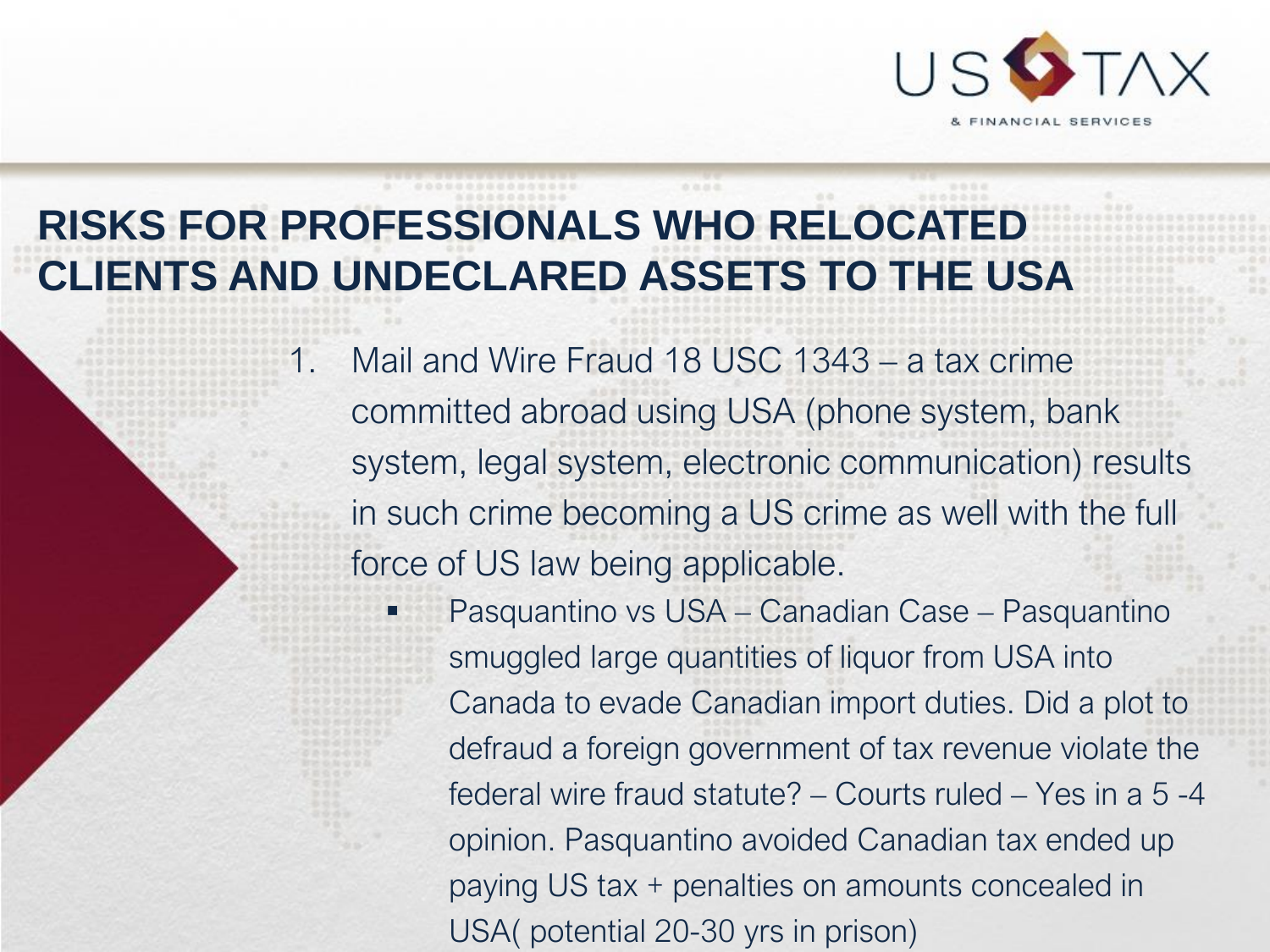

## **RISKS FOR PROFESSIONALS WHO RELOCATED CLIENTS AND UNDECLARED ASSETS TO THE USA**

1. Mail and Wire Fraud 18 USC 1343 – a tax crime committed abroad using USA (phone system, bank system, legal system, electronic communication) results in such crime becoming a US crime as well with the full force of US law being applicable.

> Pasquantino vs USA – Canadian Case – Pasquantino smuggled large quantities of liquor from USA into Canada to evade Canadian import duties. Did a plot to defraud a foreign government of tax revenue violate the federal wire fraud statute? – Courts ruled – Yes in a 5 -4 opinion. Pasquantino avoided Canadian tax ended up paying US tax + penalties on amounts concealed in USA( potential 20-30 yrs in prison)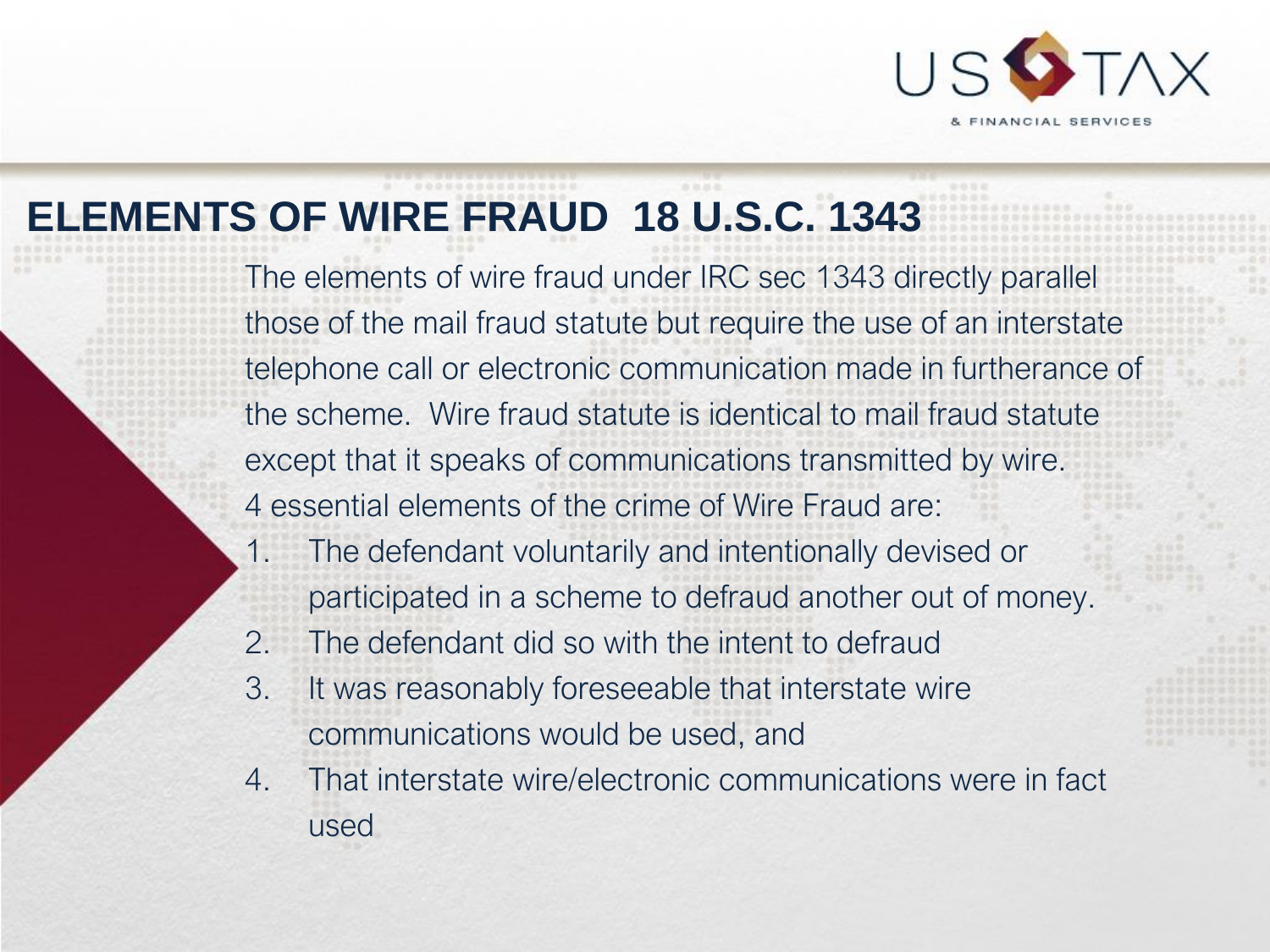

## **ELEMENTS OF WIRE FRAUD 18 U.S.C. 1343**

The elements of wire fraud under IRC sec 1343 directly parallel those of the mail fraud statute but require the use of an interstate telephone call or electronic communication made in furtherance of the scheme. Wire fraud statute is identical to mail fraud statute except that it speaks of communications transmitted by wire. 4 essential elements of the crime of Wire Fraud are:

- 1. The defendant voluntarily and intentionally devised or participated in a scheme to defraud another out of money.
- 2. The defendant did so with the intent to defraud
- 3. It was reasonably foreseeable that interstate wire communications would be used, and
- 4. That interstate wire/electronic communications were in fact used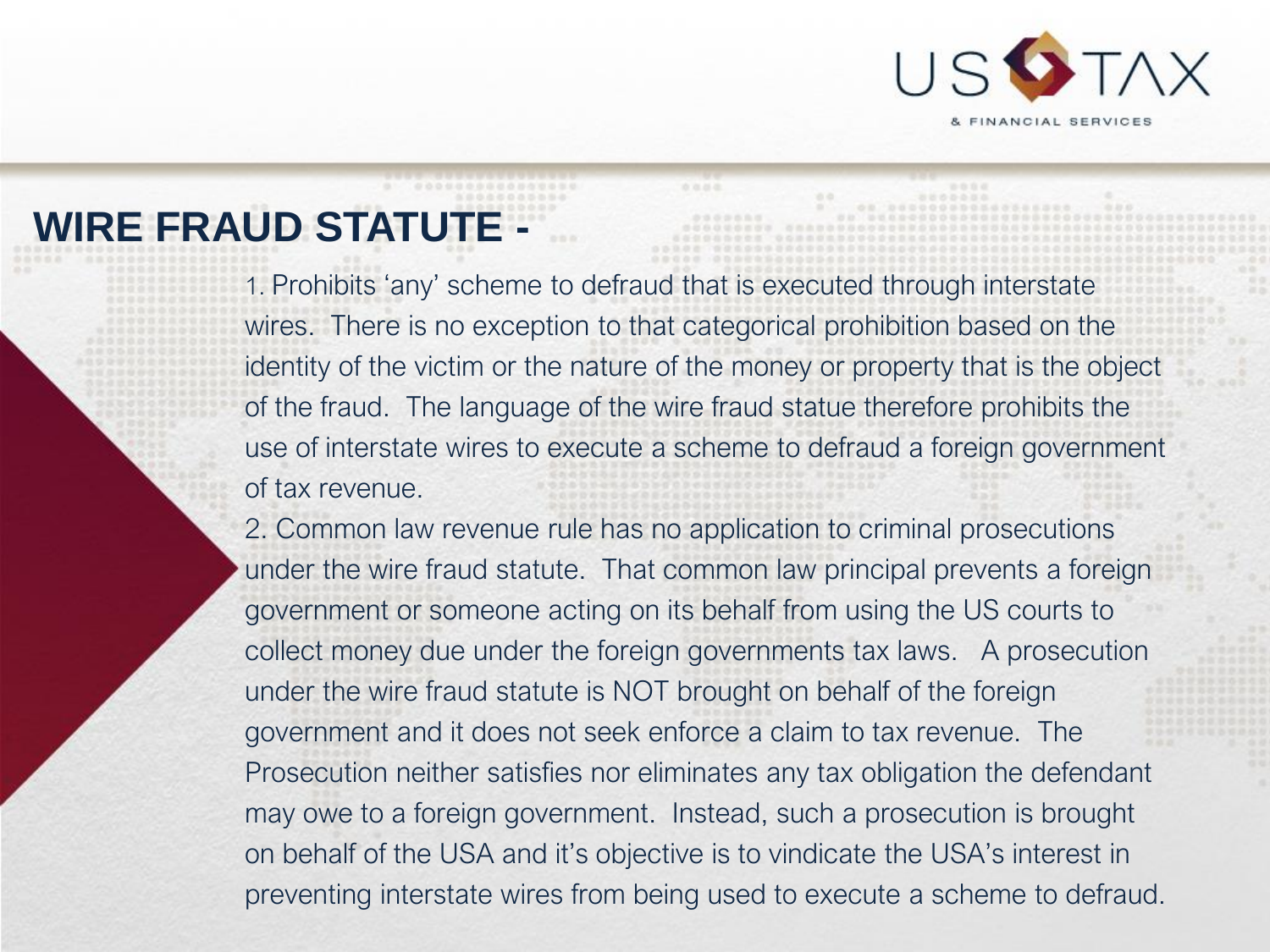

## **WIRE FRAUD STATUTE -**

1. Prohibits 'any' scheme to defraud that is executed through interstate wires. There is no exception to that categorical prohibition based on the identity of the victim or the nature of the money or property that is the object of the fraud. The language of the wire fraud statue therefore prohibits the use of interstate wires to execute a scheme to defraud a foreign government of tax revenue.

2. Common law revenue rule has no application to criminal prosecutions under the wire fraud statute. That common law principal prevents a foreign government or someone acting on its behalf from using the US courts to collect money due under the foreign governments tax laws. A prosecution under the wire fraud statute is NOT brought on behalf of the foreign government and it does not seek enforce a claim to tax revenue. The Prosecution neither satisfies nor eliminates any tax obligation the defendant may owe to a foreign government. Instead, such a prosecution is brought on behalf of the USA and it's objective is to vindicate the USA's interest in preventing interstate wires from being used to execute a scheme to defraud.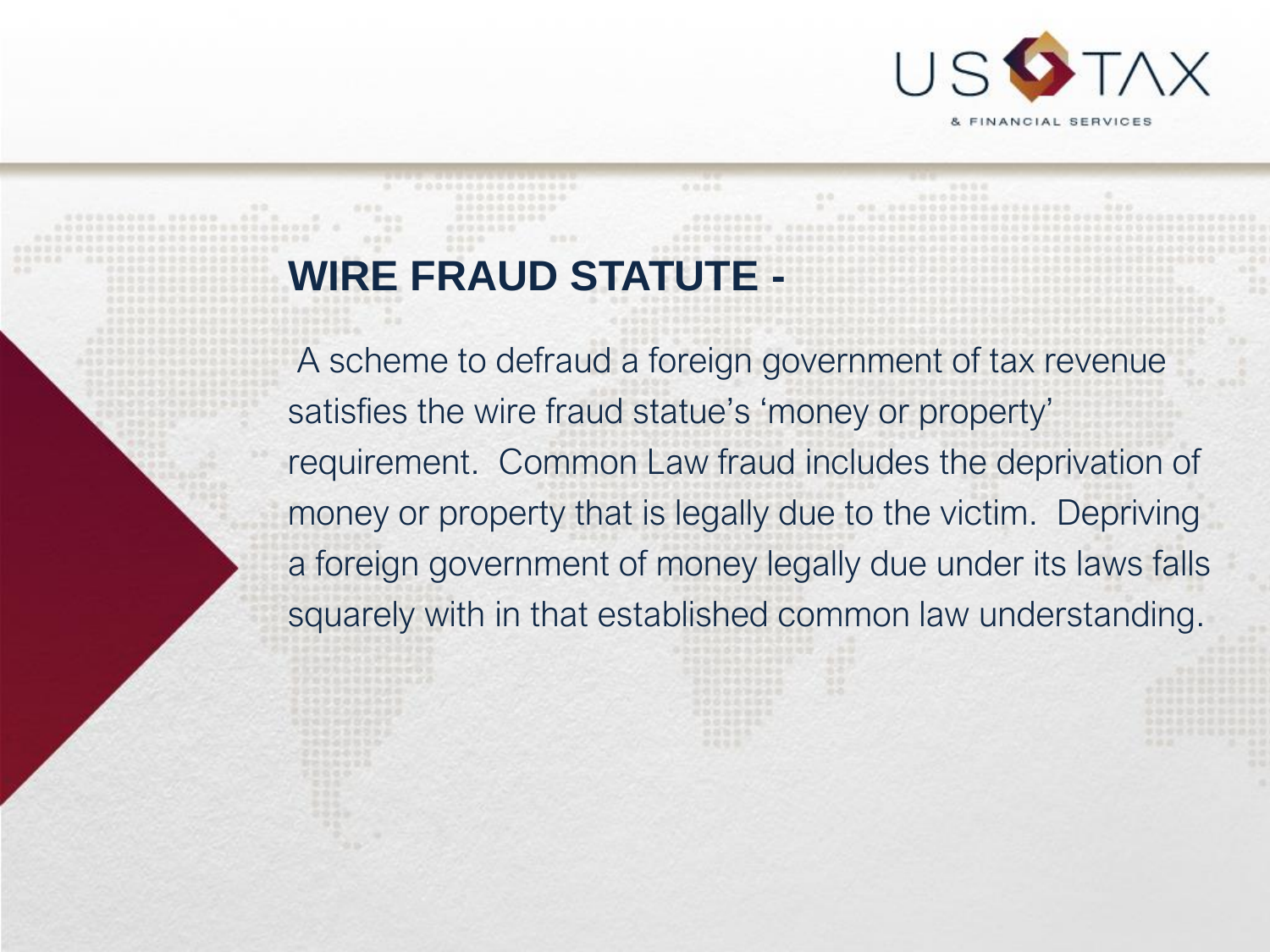

### **WIRE FRAUD STATUTE -**

A scheme to defraud a foreign government of tax revenue satisfies the wire fraud statue's 'money or property' requirement. Common Law fraud includes the deprivation of money or property that is legally due to the victim. Depriving a foreign government of money legally due under its laws falls squarely with in that established common law understanding.

立边出版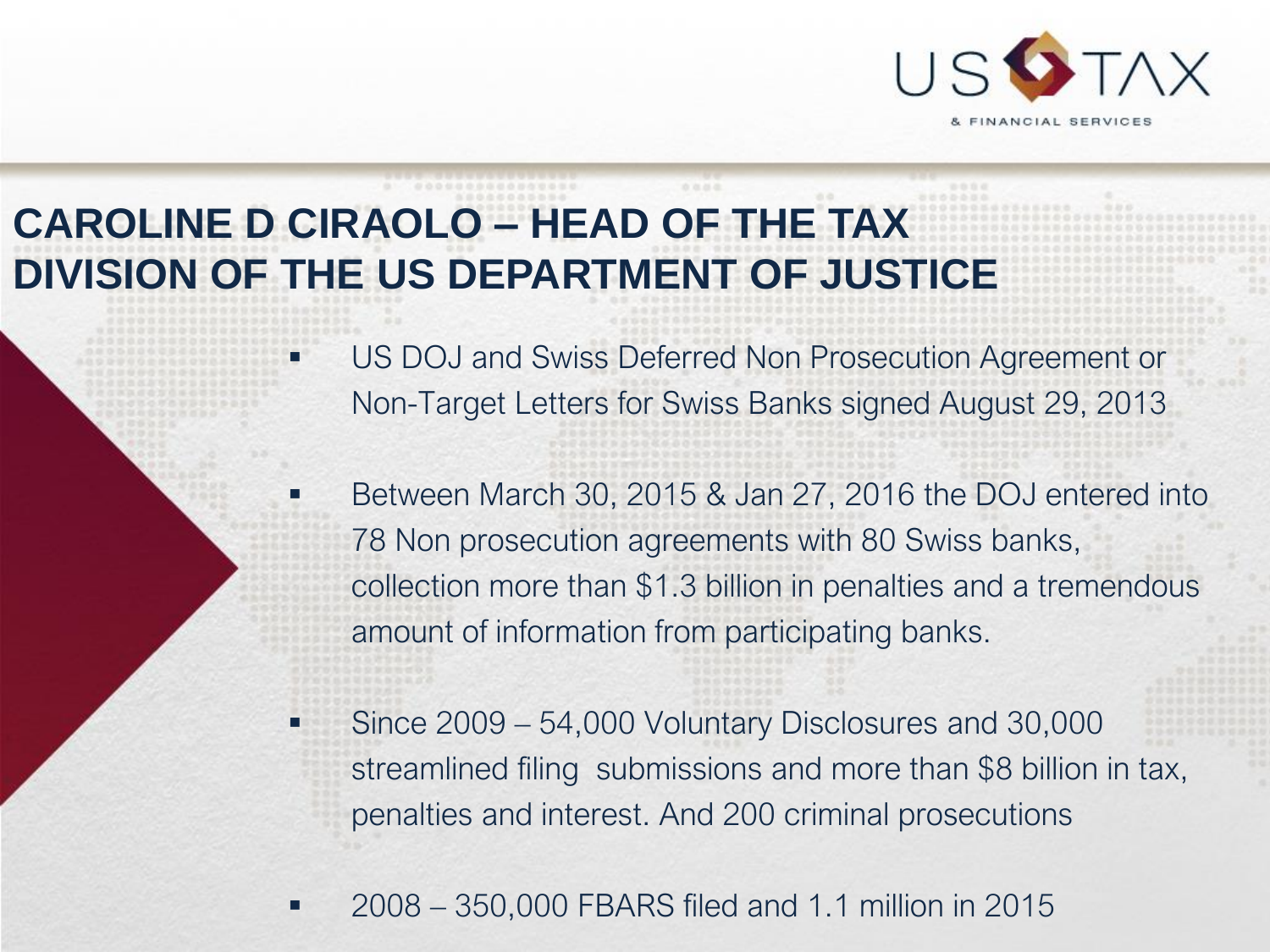

## **CAROLINE D CIRAOLO – HEAD OF THE TAX DIVISION OF THE US DEPARTMENT OF JUSTICE**

- US DOJ and Swiss Deferred Non Prosecution Agreement or Non-Target Letters for Swiss Banks signed August 29, 2013
- Between March 30, 2015 & Jan 27, 2016 the DOJ entered into 78 Non prosecution agreements with 80 Swiss banks, collection more than \$1.3 billion in penalties and a tremendous amount of information from participating banks.
- Since 2009 54,000 Voluntary Disclosures and 30,000 streamlined filing submissions and more than \$8 billion in tax, penalties and interest. And 200 criminal prosecutions
- 2008 350,000 FBARS filed and 1.1 million in 2015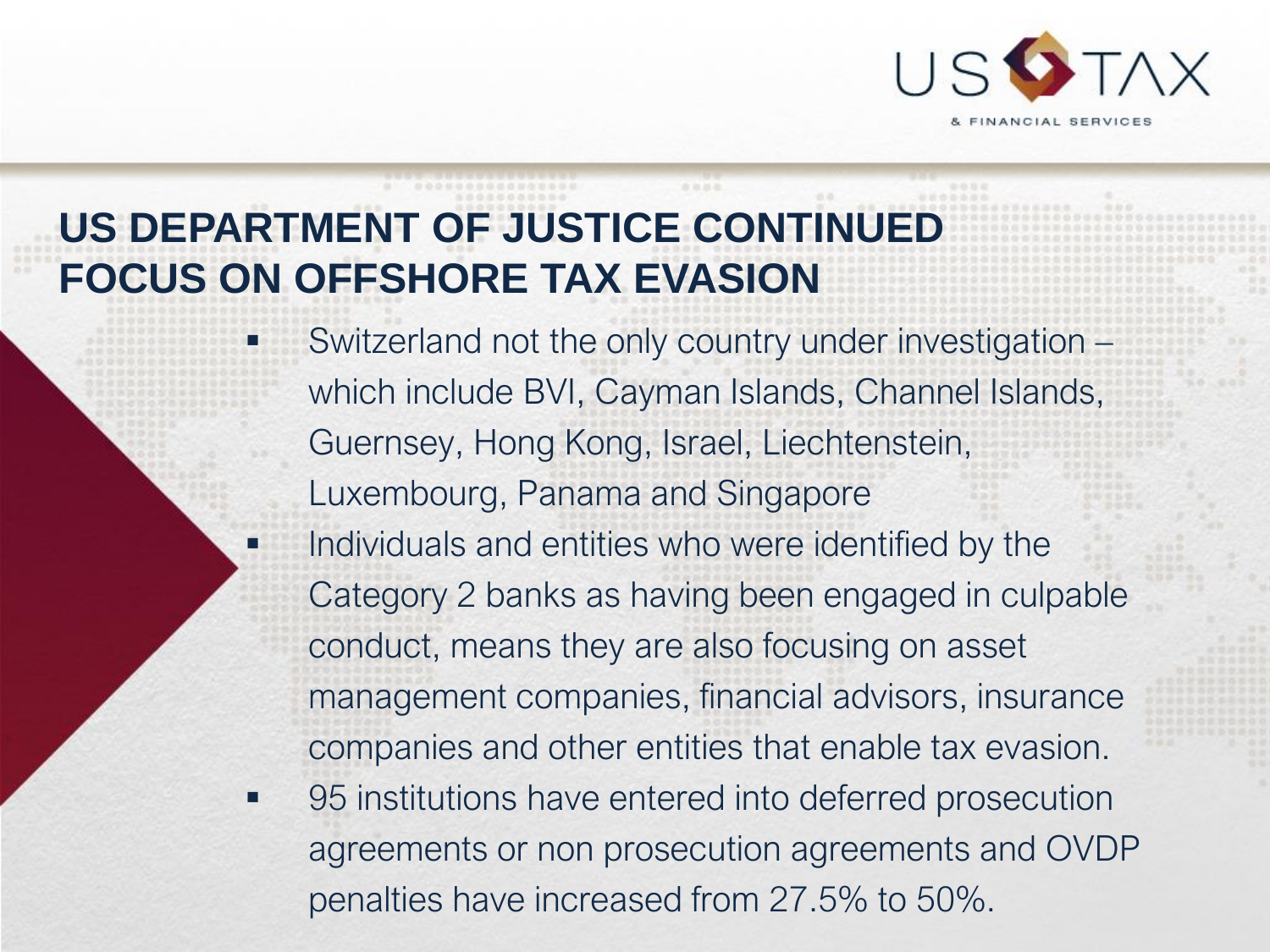

## **US DEPARTMENT OF JUSTICE CONTINUED FOCUS ON OFFSHORE TAX EVASION**

Switzerland not the only country under investigation which include BVI, Cayman Islands, Channel Islands, Guernsey, Hong Kong, Israel, Liechtenstein, Luxembourg, Panama and Singapore

- Individuals and entities who were identified by the Category 2 banks as having been engaged in culpable conduct, means they are also focusing on asset management companies, financial advisors, insurance companies and other entities that enable tax evasion.
- 95 institutions have entered into deferred prosecution agreements or non prosecution agreements and OVDP penalties have increased from 27.5% to 50%.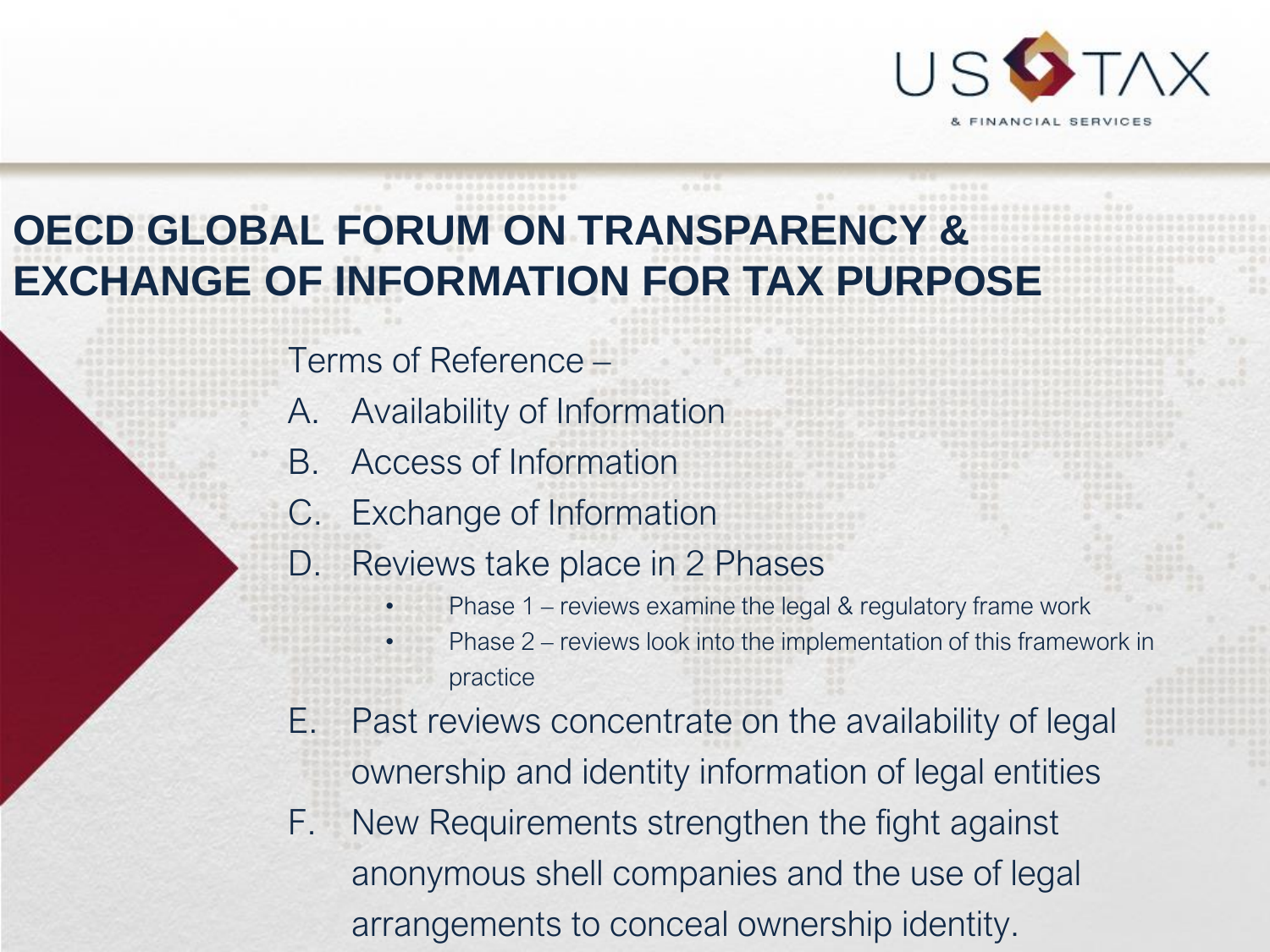

## **OECD GLOBAL FORUM ON TRANSPARENCY & EXCHANGE OF INFORMATION FOR TAX PURPOSE**

Terms of Reference –

- A. Availability of Information
- B. Access of Information
- C. Exchange of Information
- D. Reviews take place in 2 Phases
	- Phase 1 reviews examine the legal & regulatory frame work
	- Phase 2 reviews look into the implementation of this framework in practice
- E. Past reviews concentrate on the availability of legal ownership and identity information of legal entities
- F. New Requirements strengthen the fight against anonymous shell companies and the use of legal arrangements to conceal ownership identity.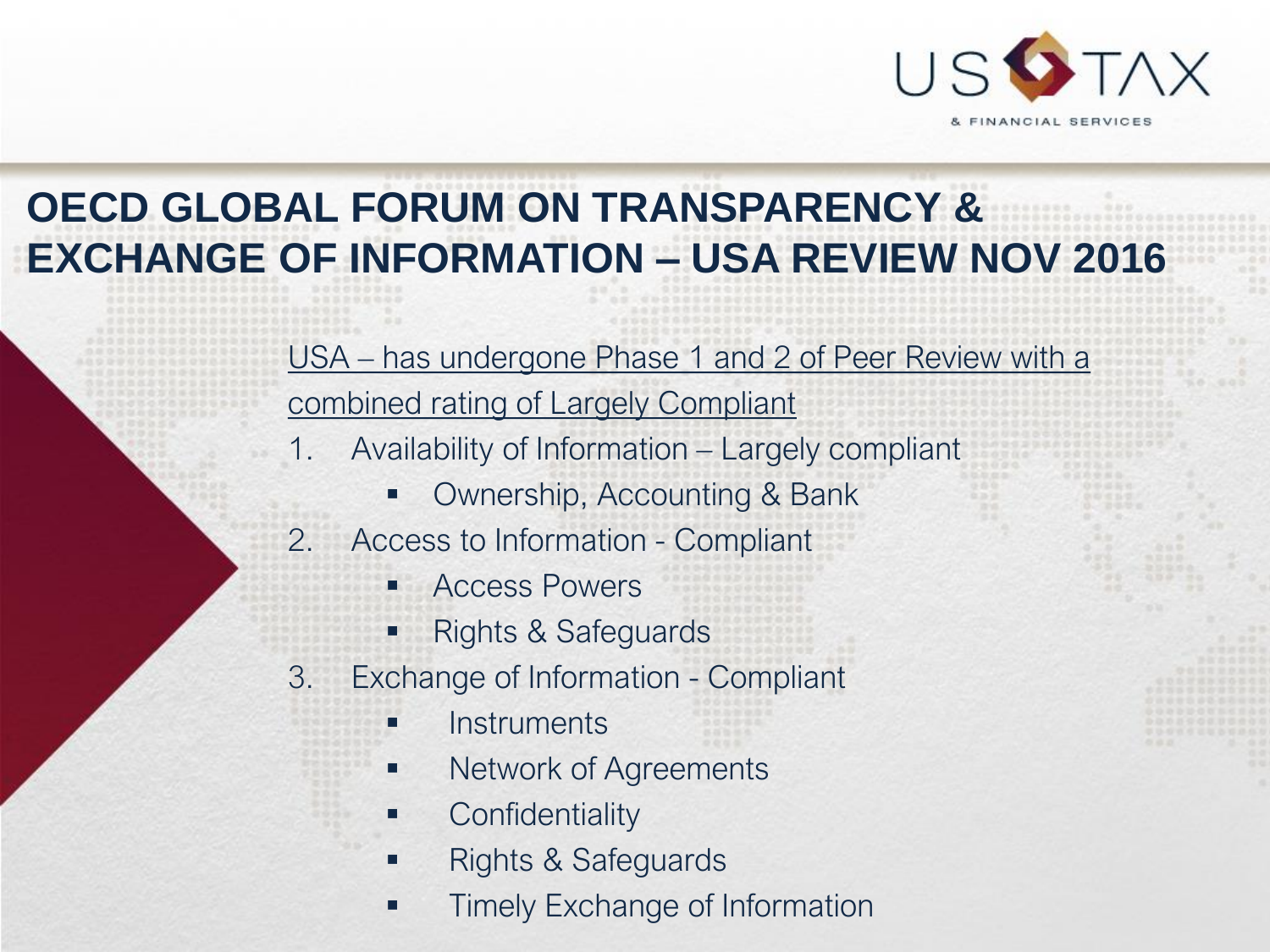

## **OECD GLOBAL FORUM ON TRANSPARENCY & EXCHANGE OF INFORMATION – USA REVIEW NOV 2016**

USA – has undergone Phase 1 and 2 of Peer Review with a combined rating of Largely Compliant

- 1. Availability of Information Largely compliant
	- Ownership, Accounting & Bank
- 2. Access to Information Compliant
	- Access Powers
	- **Rights & Safeguards**
- 3. Exchange of Information Compliant
	- **Instruments**
	- Network of Agreements
	- **Confidentiality**
	- Rights & Safeguards
	- **Timely Exchange of Information**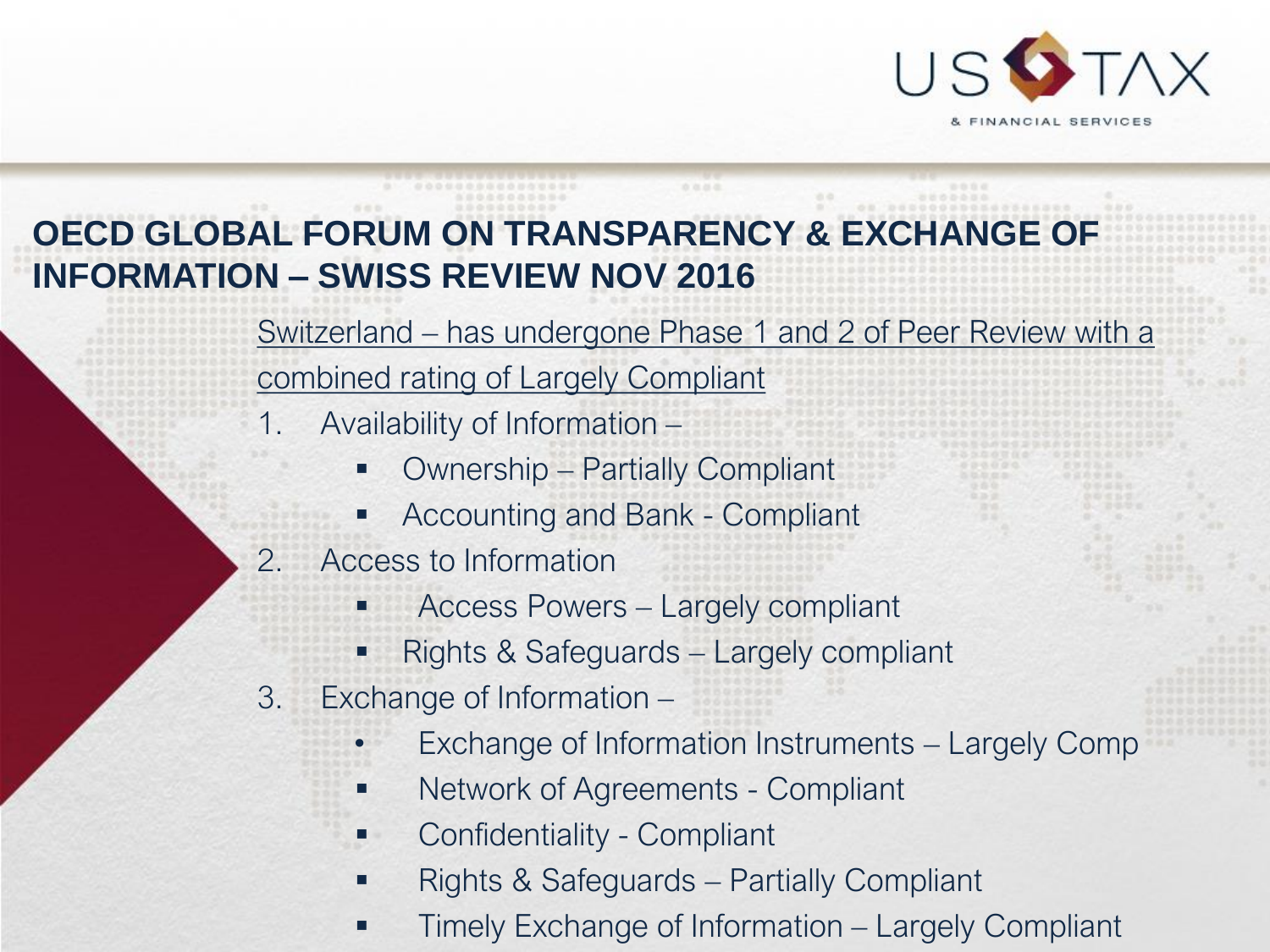

#### **OECD GLOBAL FORUM ON TRANSPARENCY & EXCHANGE OF INFORMATION – SWISS REVIEW NOV 2016**

Switzerland – has undergone Phase 1 and 2 of Peer Review with a combined rating of Largely Compliant

- 1. Availability of Information
	- Ownership Partially Compliant
	- Accounting and Bank Compliant
- 2. Access to Information
	- Access Powers Largely compliant
	- Rights & Safeguards Largely compliant
- 3. Exchange of Information
	- Exchange of Information Instruments Largely Comp
	- Network of Agreements Compliant
	- Confidentiality Compliant
	- Rights & Safeguards Partially Compliant
	- Timely Exchange of Information Largely Compliant